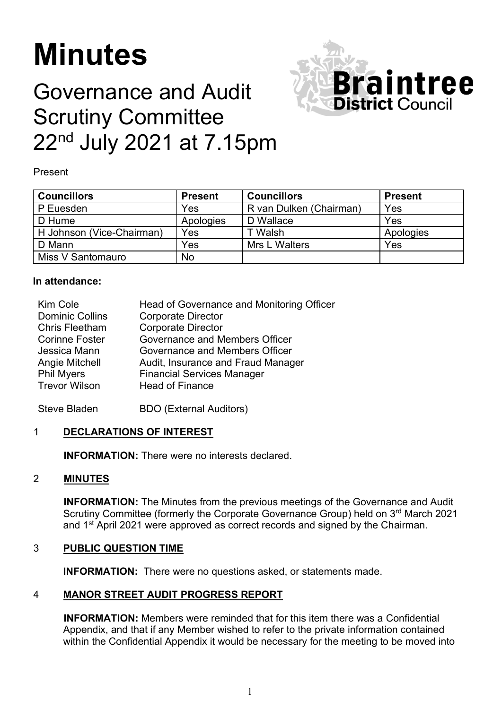# **Minutes**

# Governance and Audit Scrutiny Committee 22<sup>nd</sup> July 2021 at 7.15pm



Present

| <b>Councillors</b>        | <b>Present</b> | <b>Councillors</b>      | <b>Present</b> |
|---------------------------|----------------|-------------------------|----------------|
| P Euesden                 | Yes            | R van Dulken (Chairman) | Yes            |
| D Hume                    | Apologies      | D Wallace               | Yes            |
| H Johnson (Vice-Chairman) | Yes            | Г Walsh.                | Apologies      |
| D Mann                    | Yes            | Mrs L Walters           | Yes            |
| Miss V Santomauro         | <b>No</b>      |                         |                |

#### **In attendance:**

| Kim Cole               | Head of Governance and Monitoring Officer |
|------------------------|-------------------------------------------|
| <b>Dominic Collins</b> | <b>Corporate Director</b>                 |
| <b>Chris Fleetham</b>  | <b>Corporate Director</b>                 |
| <b>Corinne Foster</b>  | Governance and Members Officer            |
| Jessica Mann           | Governance and Members Officer            |
| Angie Mitchell         | Audit, Insurance and Fraud Manager        |
| <b>Phil Myers</b>      | <b>Financial Services Manager</b>         |
| <b>Trevor Wilson</b>   | <b>Head of Finance</b>                    |
|                        |                                           |

Steve Bladen BDO (External Auditors)

# 1 **DECLARATIONS OF INTEREST**

**INFORMATION:** There were no interests declared.

# 2 **MINUTES**

**INFORMATION:** The Minutes from the previous meetings of the Governance and Audit Scrutiny Committee (formerly the Corporate Governance Group) held on 3<sup>rd</sup> March 2021 and 1<sup>st</sup> April 2021 were approved as correct records and signed by the Chairman.

# 3 **PUBLIC QUESTION TIME**

**INFORMATION:** There were no questions asked, or statements made.

# 4 **MANOR STREET AUDIT PROGRESS REPORT**

**INFORMATION:** Members were reminded that for this item there was a Confidential Appendix, and that if any Member wished to refer to the private information contained within the Confidential Appendix it would be necessary for the meeting to be moved into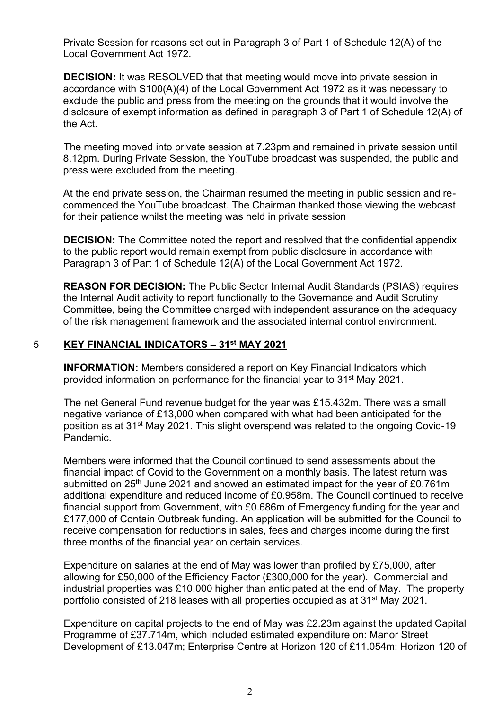Private Session for reasons set out in Paragraph 3 of Part 1 of Schedule 12(A) of the Local Government Act 1972.

**DECISION:** It was RESOLVED that that meeting would move into private session in accordance with S100(A)(4) of the Local Government Act 1972 as it was necessary to exclude the public and press from the meeting on the grounds that it would involve the disclosure of exempt information as defined in paragraph 3 of Part 1 of Schedule 12(A) of the Act.

The meeting moved into private session at 7.23pm and remained in private session until 8.12pm. During Private Session, the YouTube broadcast was suspended, the public and press were excluded from the meeting.

At the end private session, the Chairman resumed the meeting in public session and recommenced the YouTube broadcast. The Chairman thanked those viewing the webcast for their patience whilst the meeting was held in private session

**DECISION:** The Committee noted the report and resolved that the confidential appendix to the public report would remain exempt from public disclosure in accordance with Paragraph 3 of Part 1 of Schedule 12(A) of the Local Government Act 1972.

**REASON FOR DECISION:** The Public Sector Internal Audit Standards (PSIAS) requires the Internal Audit activity to report functionally to the Governance and Audit Scrutiny Committee, being the Committee charged with independent assurance on the adequacy of the risk management framework and the associated internal control environment.

# 5 **KEY FINANCIAL INDICATORS – 31st MAY 2021**

**INFORMATION:** Members considered a report on Key Financial Indicators which provided information on performance for the financial year to 31st May 2021.

The net General Fund revenue budget for the year was £15.432m. There was a small negative variance of £13,000 when compared with what had been anticipated for the position as at 31st May 2021. This slight overspend was related to the ongoing Covid-19 Pandemic.

Members were informed that the Council continued to send assessments about the financial impact of Covid to the Government on a monthly basis. The latest return was submitted on 25<sup>th</sup> June 2021 and showed an estimated impact for the year of £0.761m additional expenditure and reduced income of £0.958m. The Council continued to receive financial support from Government, with £0.686m of Emergency funding for the year and £177,000 of Contain Outbreak funding. An application will be submitted for the Council to receive compensation for reductions in sales, fees and charges income during the first three months of the financial year on certain services.

Expenditure on salaries at the end of May was lower than profiled by £75,000, after allowing for £50,000 of the Efficiency Factor (£300,000 for the year). Commercial and industrial properties was £10,000 higher than anticipated at the end of May. The property portfolio consisted of 218 leases with all properties occupied as at 31st May 2021.

Expenditure on capital projects to the end of May was £2.23m against the updated Capital Programme of £37.714m, which included estimated expenditure on: Manor Street Development of £13.047m; Enterprise Centre at Horizon 120 of £11.054m; Horizon 120 of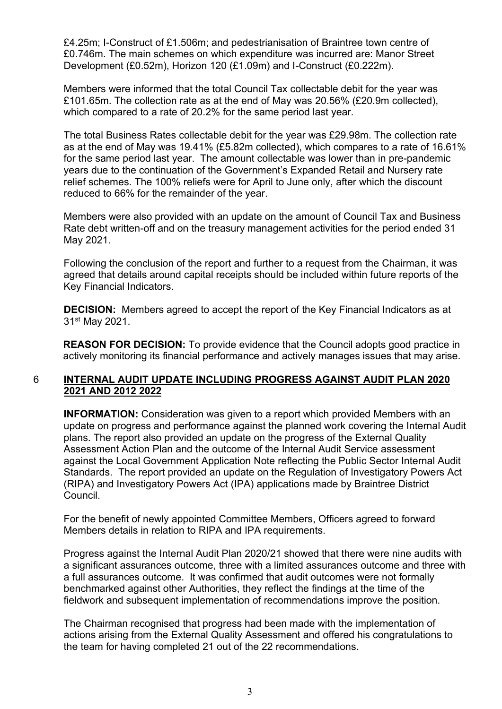£4.25m; I-Construct of £1.506m; and pedestrianisation of Braintree town centre of £0.746m. The main schemes on which expenditure was incurred are: Manor Street Development (£0.52m), Horizon 120 (£1.09m) and I-Construct (£0.222m).

Members were informed that the total Council Tax collectable debit for the year was £101.65m. The collection rate as at the end of May was 20.56% (£20.9m collected), which compared to a rate of 20.2% for the same period last year.

The total Business Rates collectable debit for the year was £29.98m. The collection rate as at the end of May was 19.41% (£5.82m collected), which compares to a rate of 16.61% for the same period last year. The amount collectable was lower than in pre-pandemic years due to the continuation of the Government's Expanded Retail and Nursery rate relief schemes. The 100% reliefs were for April to June only, after which the discount reduced to 66% for the remainder of the year.

Members were also provided with an update on the amount of Council Tax and Business Rate debt written-off and on the treasury management activities for the period ended 31 May 2021.

Following the conclusion of the report and further to a request from the Chairman, it was agreed that details around capital receipts should be included within future reports of the Key Financial Indicators.

**DECISION:** Members agreed to accept the report of the Key Financial Indicators as at 31st May 2021.

**REASON FOR DECISION:** To provide evidence that the Council adopts good practice in actively monitoring its financial performance and actively manages issues that may arise.

#### 6 **INTERNAL AUDIT UPDATE INCLUDING PROGRESS AGAINST AUDIT PLAN 2020 2021 AND 2012 2022**

**INFORMATION:** Consideration was given to a report which provided Members with an update on progress and performance against the planned work covering the Internal Audit plans. The report also provided an update on the progress of the External Quality Assessment Action Plan and the outcome of the Internal Audit Service assessment against the Local Government Application Note reflecting the Public Sector Internal Audit Standards. The report provided an update on the Regulation of Investigatory Powers Act (RIPA) and Investigatory Powers Act (IPA) applications made by Braintree District Council.

For the benefit of newly appointed Committee Members, Officers agreed to forward Members details in relation to RIPA and IPA requirements.

Progress against the Internal Audit Plan 2020/21 showed that there were nine audits with a significant assurances outcome, three with a limited assurances outcome and three with a full assurances outcome. It was confirmed that audit outcomes were not formally benchmarked against other Authorities, they reflect the findings at the time of the fieldwork and subsequent implementation of recommendations improve the position.

The Chairman recognised that progress had been made with the implementation of actions arising from the External Quality Assessment and offered his congratulations to the team for having completed 21 out of the 22 recommendations.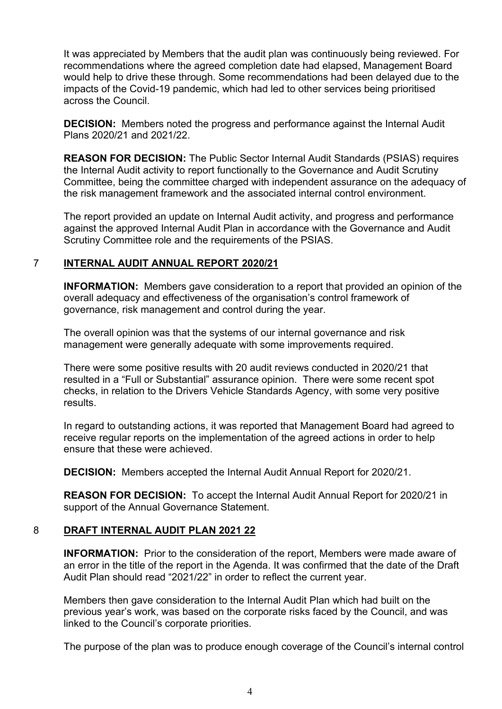It was appreciated by Members that the audit plan was continuously being reviewed. For recommendations where the agreed completion date had elapsed, Management Board would help to drive these through. Some recommendations had been delayed due to the impacts of the Covid-19 pandemic, which had led to other services being prioritised across the Council.

**DECISION:** Members noted the progress and performance against the Internal Audit Plans 2020/21 and 2021/22.

**REASON FOR DECISION:** The Public Sector Internal Audit Standards (PSIAS) requires the Internal Audit activity to report functionally to the Governance and Audit Scrutiny Committee, being the committee charged with independent assurance on the adequacy of the risk management framework and the associated internal control environment.

The report provided an update on Internal Audit activity, and progress and performance against the approved Internal Audit Plan in accordance with the Governance and Audit Scrutiny Committee role and the requirements of the PSIAS.

#### 7 **INTERNAL AUDIT ANNUAL REPORT 2020/21**

**INFORMATION:** Members gave consideration to a report that provided an opinion of the overall adequacy and effectiveness of the organisation's control framework of governance, risk management and control during the year.

The overall opinion was that the systems of our internal governance and risk management were generally adequate with some improvements required.

There were some positive results with 20 audit reviews conducted in 2020/21 that resulted in a "Full or Substantial" assurance opinion. There were some recent spot checks, in relation to the Drivers Vehicle Standards Agency, with some very positive results.

In regard to outstanding actions, it was reported that Management Board had agreed to receive regular reports on the implementation of the agreed actions in order to help ensure that these were achieved.

**DECISION:** Members accepted the Internal Audit Annual Report for 2020/21.

**REASON FOR DECISION:** To accept the Internal Audit Annual Report for 2020/21 in support of the Annual Governance Statement.

#### 8 **DRAFT INTERNAL AUDIT PLAN 2021 22**

**INFORMATION:** Prior to the consideration of the report, Members were made aware of an error in the title of the report in the Agenda. It was confirmed that the date of the Draft Audit Plan should read "2021/22" in order to reflect the current year.

Members then gave consideration to the Internal Audit Plan which had built on the previous year's work, was based on the corporate risks faced by the Council, and was linked to the Council's corporate priorities.

The purpose of the plan was to produce enough coverage of the Council's internal control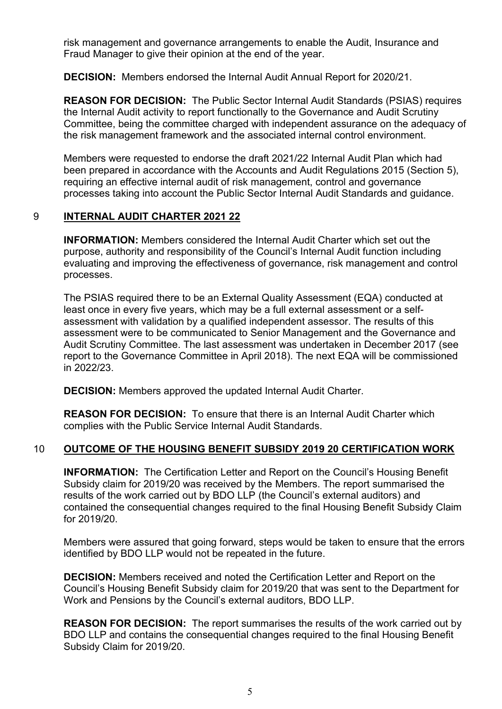risk management and governance arrangements to enable the Audit, Insurance and Fraud Manager to give their opinion at the end of the year.

**DECISION:** Members endorsed the Internal Audit Annual Report for 2020/21.

**REASON FOR DECISION:** The Public Sector Internal Audit Standards (PSIAS) requires the Internal Audit activity to report functionally to the Governance and Audit Scrutiny Committee, being the committee charged with independent assurance on the adequacy of the risk management framework and the associated internal control environment.

Members were requested to endorse the draft 2021/22 Internal Audit Plan which had been prepared in accordance with the Accounts and Audit Regulations 2015 (Section 5), requiring an effective internal audit of risk management, control and governance processes taking into account the Public Sector Internal Audit Standards and guidance.

# 9 **INTERNAL AUDIT CHARTER 2021 22**

**INFORMATION:** Members considered the Internal Audit Charter which set out the purpose, authority and responsibility of the Council's Internal Audit function including evaluating and improving the effectiveness of governance, risk management and control processes.

The PSIAS required there to be an External Quality Assessment (EQA) conducted at least once in every five years, which may be a full external assessment or a selfassessment with validation by a qualified independent assessor. The results of this assessment were to be communicated to Senior Management and the Governance and Audit Scrutiny Committee. The last assessment was undertaken in December 2017 (see report to the Governance Committee in April 2018). The next EQA will be commissioned in 2022/23.

**DECISION:** Members approved the updated Internal Audit Charter.

**REASON FOR DECISION:** To ensure that there is an Internal Audit Charter which complies with the Public Service Internal Audit Standards.

# 10 **OUTCOME OF THE HOUSING BENEFIT SUBSIDY 2019 20 CERTIFICATION WORK**

**INFORMATION:** The Certification Letter and Report on the Council's Housing Benefit Subsidy claim for 2019/20 was received by the Members. The report summarised the results of the work carried out by BDO LLP (the Council's external auditors) and contained the consequential changes required to the final Housing Benefit Subsidy Claim for 2019/20.

Members were assured that going forward, steps would be taken to ensure that the errors identified by BDO LLP would not be repeated in the future.

**DECISION:** Members received and noted the Certification Letter and Report on the Council's Housing Benefit Subsidy claim for 2019/20 that was sent to the Department for Work and Pensions by the Council's external auditors, BDO LLP.

**REASON FOR DECISION:** The report summarises the results of the work carried out by BDO LLP and contains the consequential changes required to the final Housing Benefit Subsidy Claim for 2019/20.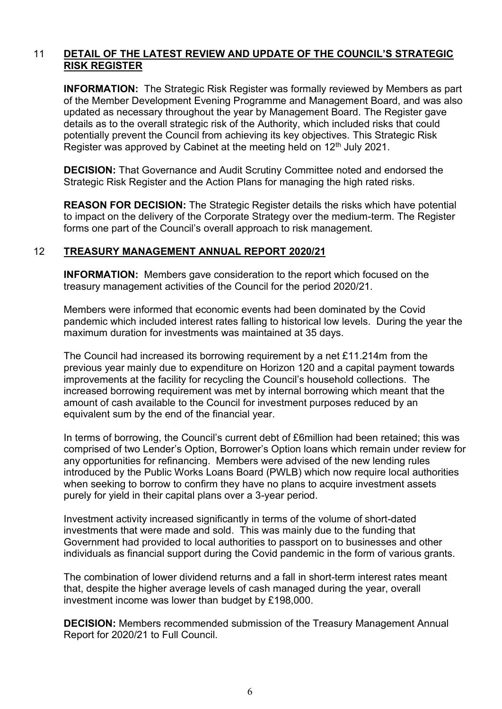#### 11 **DETAIL OF THE LATEST REVIEW AND UPDATE OF THE COUNCIL'S STRATEGIC RISK REGISTER**

**INFORMATION:** The Strategic Risk Register was formally reviewed by Members as part of the Member Development Evening Programme and Management Board, and was also updated as necessary throughout the year by Management Board. The Register gave details as to the overall strategic risk of the Authority, which included risks that could potentially prevent the Council from achieving its key objectives. This Strategic Risk Register was approved by Cabinet at the meeting held on 12<sup>th</sup> July 2021.

**DECISION:** That Governance and Audit Scrutiny Committee noted and endorsed the Strategic Risk Register and the Action Plans for managing the high rated risks.

**REASON FOR DECISION:** The Strategic Register details the risks which have potential to impact on the delivery of the Corporate Strategy over the medium-term. The Register forms one part of the Council's overall approach to risk management.

#### 12 **TREASURY MANAGEMENT ANNUAL REPORT 2020/21**

**INFORMATION:** Members gave consideration to the report which focused on the treasury management activities of the Council for the period 2020/21.

Members were informed that economic events had been dominated by the Covid pandemic which included interest rates falling to historical low levels. During the year the maximum duration for investments was maintained at 35 days.

The Council had increased its borrowing requirement by a net £11.214m from the previous year mainly due to expenditure on Horizon 120 and a capital payment towards improvements at the facility for recycling the Council's household collections. The increased borrowing requirement was met by internal borrowing which meant that the amount of cash available to the Council for investment purposes reduced by an equivalent sum by the end of the financial year.

In terms of borrowing, the Council's current debt of £6million had been retained; this was comprised of two Lender's Option, Borrower's Option loans which remain under review for any opportunities for refinancing. Members were advised of the new lending rules introduced by the Public Works Loans Board (PWLB) which now require local authorities when seeking to borrow to confirm they have no plans to acquire investment assets purely for yield in their capital plans over a 3-year period.

Investment activity increased significantly in terms of the volume of short-dated investments that were made and sold. This was mainly due to the funding that Government had provided to local authorities to passport on to businesses and other individuals as financial support during the Covid pandemic in the form of various grants.

The combination of lower dividend returns and a fall in short-term interest rates meant that, despite the higher average levels of cash managed during the year, overall investment income was lower than budget by £198,000.

**DECISION:** Members recommended submission of the Treasury Management Annual Report for 2020/21 to Full Council.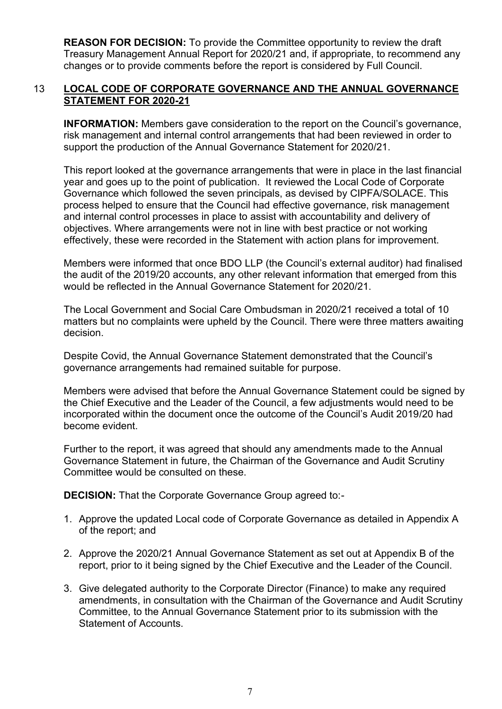**REASON FOR DECISION:** To provide the Committee opportunity to review the draft Treasury Management Annual Report for 2020/21 and, if appropriate, to recommend any changes or to provide comments before the report is considered by Full Council.

#### 13 **LOCAL CODE OF CORPORATE GOVERNANCE AND THE ANNUAL GOVERNANCE STATEMENT FOR 2020-21**

**INFORMATION:** Members gave consideration to the report on the Council's governance, risk management and internal control arrangements that had been reviewed in order to support the production of the Annual Governance Statement for 2020/21.

This report looked at the governance arrangements that were in place in the last financial year and goes up to the point of publication. It reviewed the Local Code of Corporate Governance which followed the seven principals, as devised by CIPFA/SOLACE. This process helped to ensure that the Council had effective governance, risk management and internal control processes in place to assist with accountability and delivery of objectives. Where arrangements were not in line with best practice or not working effectively, these were recorded in the Statement with action plans for improvement.

Members were informed that once BDO LLP (the Council's external auditor) had finalised the audit of the 2019/20 accounts, any other relevant information that emerged from this would be reflected in the Annual Governance Statement for 2020/21.

The Local Government and Social Care Ombudsman in 2020/21 received a total of 10 matters but no complaints were upheld by the Council. There were three matters awaiting decision.

Despite Covid, the Annual Governance Statement demonstrated that the Council's governance arrangements had remained suitable for purpose.

Members were advised that before the Annual Governance Statement could be signed by the Chief Executive and the Leader of the Council, a few adjustments would need to be incorporated within the document once the outcome of the Council's Audit 2019/20 had become evident.

Further to the report, it was agreed that should any amendments made to the Annual Governance Statement in future, the Chairman of the Governance and Audit Scrutiny Committee would be consulted on these.

**DECISION:** That the Corporate Governance Group agreed to:-

- 1. Approve the updated Local code of Corporate Governance as detailed in Appendix A of the report; and
- 2. Approve the 2020/21 Annual Governance Statement as set out at Appendix B of the report, prior to it being signed by the Chief Executive and the Leader of the Council.
- 3. Give delegated authority to the Corporate Director (Finance) to make any required amendments, in consultation with the Chairman of the Governance and Audit Scrutiny Committee, to the Annual Governance Statement prior to its submission with the Statement of Accounts.